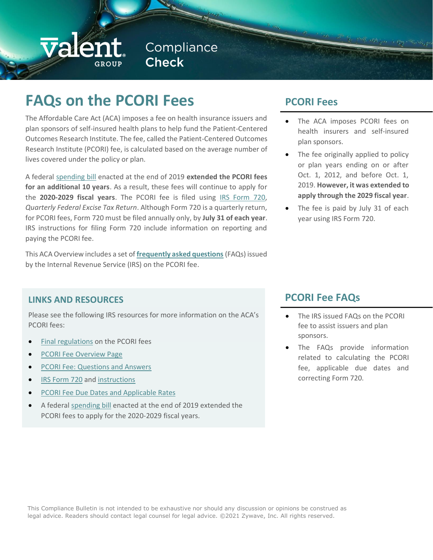# valer

# **FAQs on the PCORI Fees**

The Affordable Care Act (ACA) imposes a fee on health insurance issuers and plan sponsors of self-insured health plans to help fund the Patient-Centered Outcomes Research Institute. The fee, called the Patient-Centered Outcomes Research Institute (PCORI) fee, is calculated based on the average number of lives covered under the policy or plan.

A federal [spending bill](https://www.congress.gov/bill/116th-congress/house-bill/1865/text) enacted at the end of 2019 **extended the PCORI fees for an additional 10 years**. As a result, these fees will continue to apply for the **2020-2029 fiscal years**. The PCORI fee is filed using [IRS Form 720,](http://www.irs.gov/pub/irs-pdf/f720.pdf) *Quarterly Federal Excise Tax Return*. Although Form 720 is a quarterly return, for PCORI fees, Form 720 must be filed annually only, by **July 31 of each year**. IRS instructions for filing Form 720 include information on reporting and paying the PCORI fee.

This ACA Overview includes a set of **[frequently asked questions](https://www.irs.gov/affordable-care-act/patient-centered-outcomes-research-trust-fund-fee-questions-and-answers)** (FAQs) issued by the Internal Revenue Service (IRS) on the PCORI fee.

# **PCORI Fees**

The ACA imposes PCORI fees on health insurers and self-insured plan sponsors.

By 1998 1998 years in 1997 1996 1997

- The fee originally applied to policy or plan years ending on or after Oct. 1, 2012, and before Oct. 1, 2019. **However, it was extended to apply through the 2029 fiscal year**.
- The fee is paid by July 31 of each year using IRS Form 720.

#### **LINKS AND RESOURCES**

Please see the following IRS resources for more information on the ACA's PCORI fees:

- [Final regulations](http://www.gpo.gov/fdsys/pkg/FR-2012-12-06/pdf/2012-29325.pdf) on the PCORI fees
- [PCORI Fee Overview Page](https://www.irs.gov/uac/Newsroom/Patient-Centered-Outcomes-Research-Institute-Fee)
- [PCORI Fee: Questions and Answers](https://www.irs.gov/affordable-care-act/patient-centered-outcomes-research-trust-fund-fee-questions-and-answers)
- [IRS Form 720](http://www.irs.gov/pub/irs-pdf/f720.pdf) and [instructions](http://www.irs.gov/pub/irs-pdf/i720.pdf)
- [PCORI Fee Due Dates and Applicable Rates](https://www.irs.gov/affordable-care-act/patient-centered-outreach-research-institute-filing-due-dates-and-applicable-rates)
- A federal [spending bill](https://www.congress.gov/bill/116th-congress/house-bill/1865/text) enacted at the end of 2019 extended the PCORI fees to apply for the 2020-2029 fiscal years.

## **PCORI Fee FAQs**

- The IRS issued FAQs on the PCORI fee to assist issuers and plan sponsors.
- The FAQs provide information related to calculating the PCORI fee, applicable due dates and correcting Form 720.

This Compliance Bulletin is not intended to be exhaustive nor should any discussion or opinions be construed as legal advice. Readers should contact legal counsel for legal advice. ©2021 Zywave, Inc. All rights reserved.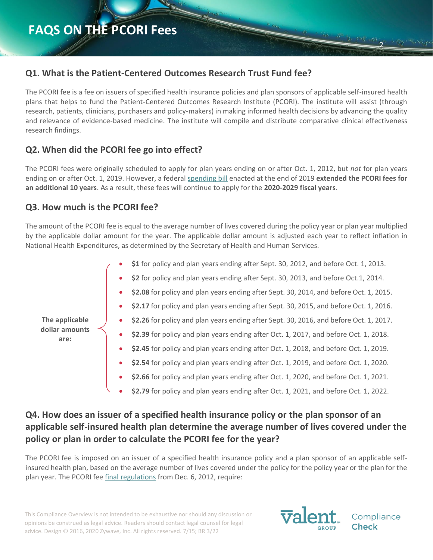### **Q1. What is the Patient-Centered Outcomes Research Trust Fund fee?**

The PCORI fee is a fee on issuers of specified health insurance policies and plan sponsors of applicable self-insured health plans that helps to fund the Patient-Centered Outcomes Research Institute (PCORI). The institute will assist (through research, patients, clinicians, purchasers and policy-makers) in making informed health decisions by advancing the quality and relevance of evidence-based medicine. The institute will compile and distribute comparative clinical effectiveness research findings.

#### **Q2. When did the PCORI fee go into effect?**

The PCORI fees were originally scheduled to apply for plan years ending on or after Oct. 1, 2012, but *not* for plan years ending on or after Oct. 1, 2019. However, a federal [spending bill](https://www.congress.gov/bill/116th-congress/house-bill/1865/text) enacted at the end of 2019 **extended the PCORI fees for an additional 10 years**. As a result, these fees will continue to apply for the **2020-2029 fiscal years**.

## **Q3. How much is the PCORI fee?**

The amount of the PCORI fee is equal to the average number of lives covered during the policy year or plan year multiplied by the applicable dollar amount for the year. The applicable dollar amount is adjusted each year to reflect inflation in National Health Expenditures, as determined by the Secretary of Health and Human Services.

| The applicable<br>dollar amounts<br>are: |           | \$1 for policy and plan years ending after Sept. 30, 2012, and before Oct. 1, 2013.    |
|------------------------------------------|-----------|----------------------------------------------------------------------------------------|
|                                          | $\bullet$ | \$2 for policy and plan years ending after Sept. 30, 2013, and before Oct.1, 2014.     |
|                                          | $\bullet$ | \$2.08 for policy and plan years ending after Sept. 30, 2014, and before Oct. 1, 2015. |
|                                          | $\bullet$ | \$2.17 for policy and plan years ending after Sept. 30, 2015, and before Oct. 1, 2016. |
|                                          | $\bullet$ | \$2.26 for policy and plan years ending after Sept. 30, 2016, and before Oct. 1, 2017. |
|                                          | ۰         | \$2.39 for policy and plan years ending after Oct. 1, 2017, and before Oct. 1, 2018.   |
|                                          | $\bullet$ | \$2.45 for policy and plan years ending after Oct. 1, 2018, and before Oct. 1, 2019.   |
|                                          | $\bullet$ | \$2.54 for policy and plan years ending after Oct. 1, 2019, and before Oct. 1, 2020.   |
|                                          | ۰         | \$2.66 for policy and plan years ending after Oct. 1, 2020, and before Oct. 1, 2021.   |
|                                          |           | \$2.79 for policy and plan years ending after Oct. 1, 2021, and before Oct. 1, 2022.   |

# **Q4. How does an issuer of a specified health insurance policy or the plan sponsor of an applicable self-insured health plan determine the average number of lives covered under the policy or plan in order to calculate the PCORI fee for the year?**

The PCORI fee is imposed on an issuer of a specified health insurance policy and a plan sponsor of an applicable selfinsured health plan, based on the average number of lives covered under the policy for the policy year or the plan for the plan year. The PCORI fee [final regulations](http://www.gpo.gov/fdsys/pkg/FR-2012-12-06/pdf/2012-29325.pdf) from Dec. 6, 2012, require:

This Compliance Overview is not intended to be exhaustive nor should any discussion or opinions be construed as legal advice. Readers should contact legal counsel for legal advice. Design © 2016, 2020 Zywave, Inc. All rights reserved. 7/15; BR 3/22



Compliance Check

2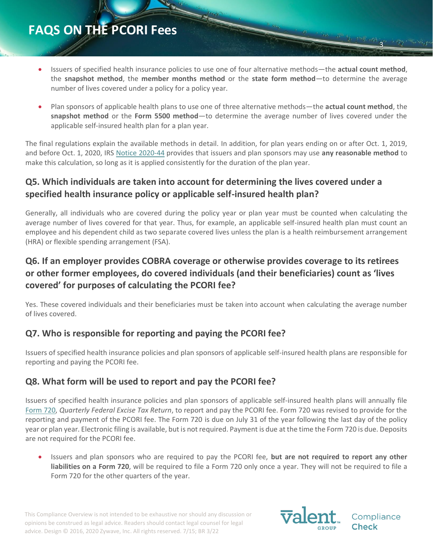- Issuers of specified health insurance policies to use one of four alternative methods—the **actual count method**, the **snapshot method**, the **member months method** or the **state form method**—to determine the average number of lives covered under a policy for a policy year.
- Plan sponsors of applicable health plans to use one of three alternative methods—the **actual count method**, the **snapshot method** or the **Form 5500 method**—to determine the average number of lives covered under the applicable self-insured health plan for a plan year.

The final regulations explain the available methods in detail. In addition, for plan years ending on or after Oct. 1, 2019, and before Oct. 1, 2020, IRS [Notice 2020-44](https://www.irs.gov/pub/irs-drop/n-20-44.pdf) provides that issuers and plan sponsors may use **any reasonable method** to make this calculation, so long as it is applied consistently for the duration of the plan year.

# **Q5. Which individuals are taken into account for determining the lives covered under a specified health insurance policy or applicable self-insured health plan?**

Generally, all individuals who are covered during the policy year or plan year must be counted when calculating the average number of lives covered for that year. Thus, for example, an applicable self-insured health plan must count an employee and his dependent child as two separate covered lives unless the plan is a health reimbursement arrangement (HRA) or flexible spending arrangement (FSA).

# **Q6. If an employer provides COBRA coverage or otherwise provides coverage to its retirees or other former employees, do covered individuals (and their beneficiaries) count as 'lives covered' for purposes of calculating the PCORI fee?**

Yes. These covered individuals and their beneficiaries must be taken into account when calculating the average number of lives covered.

## **Q7. Who is responsible for reporting and paying the PCORI fee?**

Issuers of specified health insurance policies and plan sponsors of applicable self-insured health plans are responsible for reporting and paying the PCORI fee.

#### **Q8. What form will be used to report and pay the PCORI fee?**

Issuers of specified health insurance policies and plan sponsors of applicable self-insured health plans will annually file [Form 720,](http://www.irs.gov/pub/irs-pdf/f720.pdf) *Quarterly Federal Excise Tax Return*, to report and pay the PCORI fee. Form 720 was revised to provide for the reporting and payment of the PCORI fee. The Form 720 is due on July 31 of the year following the last day of the policy year or plan year. Electronic filing is available, but is not required. Payment is due at the time the Form 720 is due. Deposits are not required for the PCORI fee.

• Issuers and plan sponsors who are required to pay the PCORI fee, **but are not required to report any other liabilities on a Form 720**, will be required to file a Form 720 only once a year. They will not be required to file a Form 720 for the other quarters of the year.

This Compliance Overview is not intended to be exhaustive nor should any discussion or opinions be construed as legal advice. Readers should contact legal counsel for legal advice. Design © 2016, 2020 Zywave, Inc. All rights reserved. 7/15; BR 3/22



Compliance

3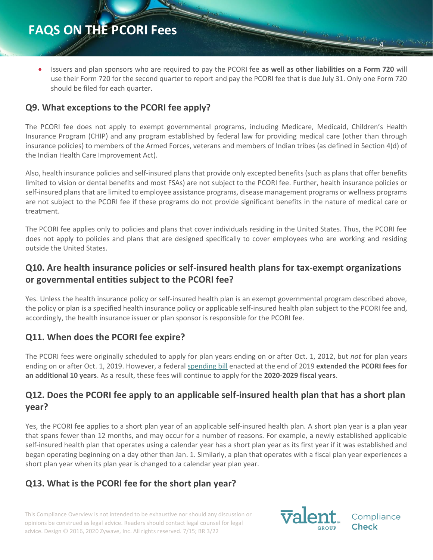• Issuers and plan sponsors who are required to pay the PCORI fee **as well as other liabilities on a Form 720** will use their Form 720 for the second quarter to report and pay the PCORI fee that is due July 31. Only one Form 720 should be filed for each quarter.

#### **Q9. What exceptions to the PCORI fee apply?**

The PCORI fee does not apply to exempt governmental programs, including Medicare, Medicaid, Children's Health Insurance Program (CHIP) and any program established by federal law for providing medical care (other than through insurance policies) to members of the Armed Forces, veterans and members of Indian tribes (as defined in Section 4(d) of the Indian Health Care Improvement Act).

Also, health insurance policies and self-insured plans that provide only excepted benefits (such as plans that offer benefits limited to vision or dental benefits and most FSAs) are not subject to the PCORI fee. Further, health insurance policies or self-insured plans that are limited to employee assistance programs, disease management programs or wellness programs are not subject to the PCORI fee if these programs do not provide significant benefits in the nature of medical care or treatment.

The PCORI fee applies only to policies and plans that cover individuals residing in the United States. Thus, the PCORI fee does not apply to policies and plans that are designed specifically to cover employees who are working and residing outside the United States.

### **Q10. Are health insurance policies or self-insured health plans for tax-exempt organizations or governmental entities subject to the PCORI fee?**

Yes. Unless the health insurance policy or self-insured health plan is an exempt governmental program described above, the policy or plan is a specified health insurance policy or applicable self-insured health plan subject to the PCORI fee and, accordingly, the health insurance issuer or plan sponsor is responsible for the PCORI fee.

#### **Q11. When does the PCORI fee expire?**

The PCORI fees were originally scheduled to apply for plan years ending on or after Oct. 1, 2012, but *not* for plan years ending on or after Oct. 1, 2019. However, a federal [spending bill](https://www.congress.gov/bill/116th-congress/house-bill/1865/text) enacted at the end of 2019 **extended the PCORI fees for an additional 10 years**. As a result, these fees will continue to apply for the **2020-2029 fiscal years**.

#### **Q12. Does the PCORI fee apply to an applicable self-insured health plan that has a short plan year?**

Yes, the PCORI fee applies to a short plan year of an applicable self-insured health plan. A short plan year is a plan year that spans fewer than 12 months, and may occur for a number of reasons. For example, a newly established applicable self-insured health plan that operates using a calendar year has a short plan year as its first year if it was established and began operating beginning on a day other than Jan. 1. Similarly, a plan that operates with a fiscal plan year experiences a short plan year when its plan year is changed to a calendar year plan year.

#### **Q13. What is the PCORI fee for the short plan year?**

This Compliance Overview is not intended to be exhaustive nor should any discussion or opinions be construed as legal advice. Readers should contact legal counsel for legal advice. Design © 2016, 2020 Zywave, Inc. All rights reserved. 7/15; BR 3/22



Compliance Check

4